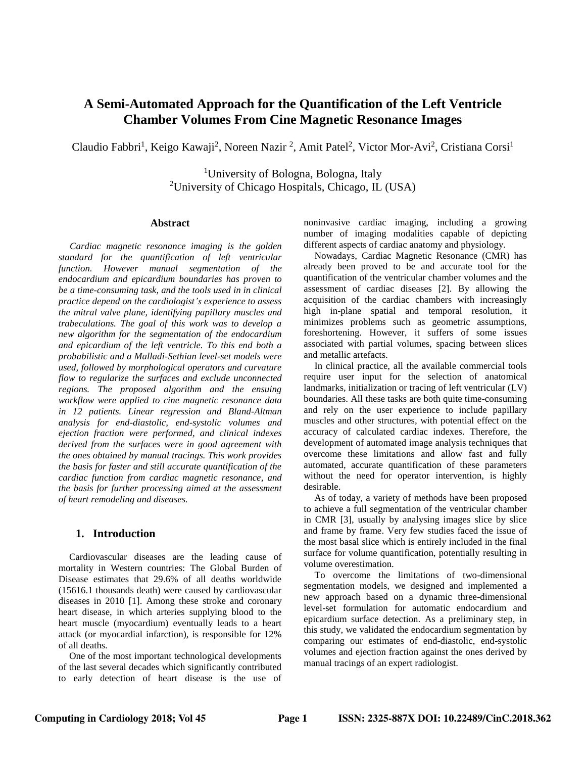# **A Semi-Automated Approach for the Quantification of the Left Ventricle Chamber Volumes From Cine Magnetic Resonance Images**

Claudio Fabbri<sup>1</sup>, Keigo Kawaji<sup>2</sup>, Noreen Nazir<sup>2</sup>, Amit Patel<sup>2</sup>, Victor Mor-Avi<sup>2</sup>, Cristiana Corsi<sup>1</sup>

<sup>1</sup>University of Bologna, Bologna, Italy <sup>2</sup>University of Chicago Hospitals, Chicago, IL (USA)

#### **Abstract**

*Cardiac magnetic resonance imaging is the golden standard for the quantification of left ventricular function. However manual segmentation of the endocardium and epicardium boundaries has proven to be a time-consuming task, and the tools used in in clinical practice depend on the cardiologist's experience to assess the mitral valve plane, identifying papillary muscles and trabeculations. The goal of this work was to develop a new algorithm for the segmentation of the endocardium and epicardium of the left ventricle. To this end both a probabilistic and a Malladi-Sethian level-set models were used, followed by morphological operators and curvature flow to regularize the surfaces and exclude unconnected regions. The proposed algorithm and the ensuing workflow were applied to cine magnetic resonance data in 12 patients. Linear regression and Bland-Altman analysis for end-diastolic, end-systolic volumes and ejection fraction were performed, and clinical indexes derived from the surfaces were in good agreement with the ones obtained by manual tracings. This work provides the basis for faster and still accurate quantification of the cardiac function from cardiac magnetic resonance, and the basis for further processing aimed at the assessment of heart remodeling and diseases.*

## **1. Introduction**

Cardiovascular diseases are the leading cause of mortality in Western countries: The Global Burden of Disease estimates that 29.6% of all deaths worldwide (15616.1 thousands death) were caused by cardiovascular diseases in 2010 [1]. Among these stroke and coronary heart disease, in which arteries supplying blood to the heart muscle (myocardium) eventually leads to a heart attack (or myocardial infarction), is responsible for 12% of all deaths.

One of the most important technological developments of the last several decades which significantly contributed to early detection of heart disease is the use of noninvasive cardiac imaging, including a growing number of imaging modalities capable of depicting different aspects of cardiac anatomy and physiology.

Nowadays, Cardiac Magnetic Resonance (CMR) has already been proved to be and accurate tool for the quantification of the ventricular chamber volumes and the assessment of cardiac diseases [2]. By allowing the acquisition of the cardiac chambers with increasingly high in-plane spatial and temporal resolution, it minimizes problems such as geometric assumptions, foreshortening. However, it suffers of some issues associated with partial volumes, spacing between slices and metallic artefacts.

In clinical practice, all the available commercial tools require user input for the selection of anatomical landmarks, initialization or tracing of left ventricular (LV) boundaries. All these tasks are both quite time-consuming and rely on the user experience to include papillary muscles and other structures, with potential effect on the accuracy of calculated cardiac indexes. Therefore, the development of automated image analysis techniques that overcome these limitations and allow fast and fully automated, accurate quantification of these parameters without the need for operator intervention, is highly desirable.

As of today, a variety of methods have been proposed to achieve a full segmentation of the ventricular chamber in CMR [3], usually by analysing images slice by slice and frame by frame. Very few studies faced the issue of the most basal slice which is entirely included in the final surface for volume quantification, potentially resulting in volume overestimation.

To overcome the limitations of two-dimensional segmentation models, we designed and implemented a new approach based on a dynamic three-dimensional level-set formulation for automatic endocardium and epicardium surface detection. As a preliminary step, in this study, we validated the endocardium segmentation by comparing our estimates of end-diastolic, end-systolic volumes and ejection fraction against the ones derived by manual tracings of an expert radiologist.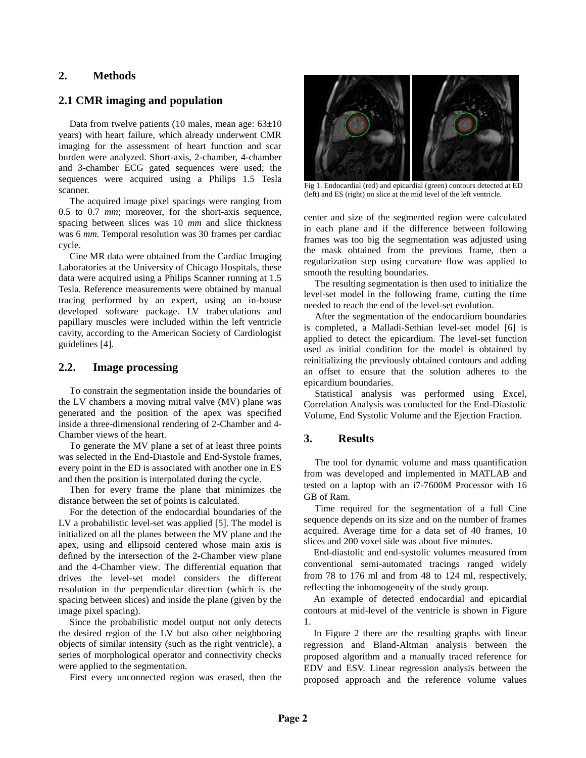# **2. Methods**

## **2.1 CMR imaging and population**

Data from twelve patients (10 males, mean age:  $63\pm10$ ) years) with heart failure, which already underwent CMR imaging for the assessment of heart function and scar burden were analyzed. Short-axis, 2-chamber, 4-chamber and 3-chamber ECG gated sequences were used; the sequences were acquired using a Philips 1.5 Tesla scanner.

The acquired image pixel spacings were ranging from 0.5 to 0.7 *mm*; moreover, for the short-axis sequence, spacing between slices was 10 *mm* and slice thickness was 6 *mm.* Temporal resolution was 30 frames per cardiac cycle.

Cine MR data were obtained from the Cardiac Imaging Laboratories at the University of Chicago Hospitals, these data were acquired using a Philips Scanner running at 1.5 Tesla. Reference measurements were obtained by manual tracing performed by an expert, using an in-house developed software package. LV trabeculations and papillary muscles were included within the left ventricle cavity, according to the American Society of Cardiologist guidelines [4].

## **2.2. Image processing**

To constrain the segmentation inside the boundaries of the LV chambers a moving mitral valve (MV) plane was generated and the position of the apex was specified inside a three-dimensional rendering of 2-Chamber and 4- Chamber views of the heart.

To generate the MV plane a set of at least three points was selected in the End-Diastole and End-Systole frames, every point in the ED is associated with another one in ES and then the position is interpolated during the cycle.

Then for every frame the plane that minimizes the distance between the set of points is calculated.

For the detection of the endocardial boundaries of the LV a probabilistic level-set was applied [5]. The model is initialized on all the planes between the MV plane and the apex, using and ellipsoid centered whose main axis is defined by the intersection of the 2-Chamber view plane and the 4-Chamber view. The differential equation that drives the level-set model considers the different resolution in the perpendicular direction (which is the spacing between slices) and inside the plane (given by the image pixel spacing).

Since the probabilistic model output not only detects the desired region of the LV but also other neighboring objects of similar intensity (such as the right ventricle), a series of morphological operator and connectivity checks were applied to the segmentation.

First every unconnected region was erased, then the



Fig 1. Endocardial (red) and epicardial (green) contours detected at ED (left) and ES (right) on slice at the mid level of the left ventricle.

center and size of the segmented region were calculated in each plane and if the difference between following frames was too big the segmentation was adjusted using the mask obtained from the previous frame, then a regularization step using curvature flow was applied to smooth the resulting boundaries.

The resulting segmentation is then used to initialize the level-set model in the following frame, cutting the time needed to reach the end of the level-set evolution.

After the segmentation of the endocardium boundaries is completed, a Malladi-Sethian level-set model [6] is applied to detect the epicardium. The level-set function used as initial condition for the model is obtained by reinitializing the previously obtained contours and adding an offset to ensure that the solution adheres to the epicardium boundaries.

Statistical analysis was performed using Excel, Correlation Analysis was conducted for the End-Diastolic Volume, End Systolic Volume and the Ejection Fraction.

### **3. Results**

The tool for dynamic volume and mass quantification from was developed and implemented in MATLAB and tested on a laptop with an i7-7600M Processor with 16 GB of Ram.

Time required for the segmentation of a full Cine sequence depends on its size and on the number of frames acquired. Average time for a data set of 40 frames, 10 slices and 200 voxel side was about five minutes.

End-diastolic and end-systolic volumes measured from conventional semi-automated tracings ranged widely from 78 to 176 ml and from 48 to 124 ml, respectively, reflecting the inhomogeneity of the study group.

An example of detected endocardial and epicardial contours at mid-level of the ventricle is shown in Figure 1.

In Figure 2 there are the resulting graphs with linear regression and Bland-Altman analysis between the proposed algorithm and a manually traced reference for EDV and ESV. Linear regression analysis between the proposed approach and the reference volume values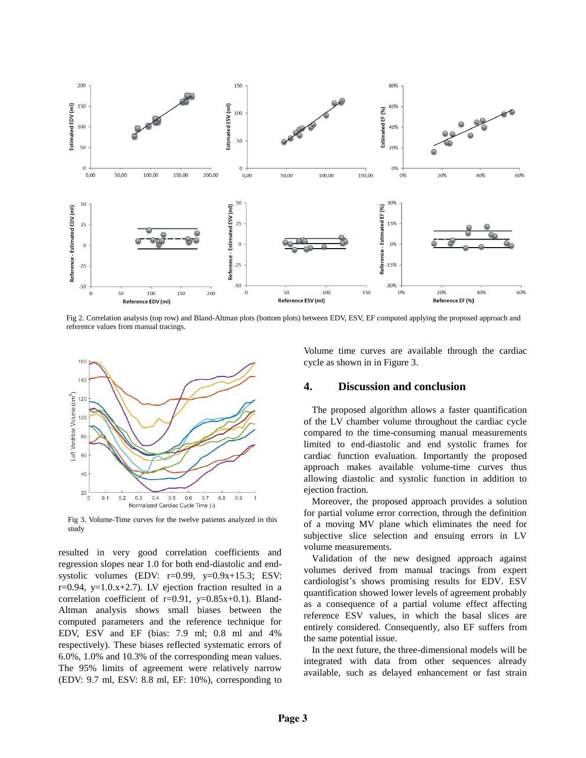

Fig 2. Correlation analysis (top row) and Bland-Altman plots (bottom plots) between EDV, ESV, EF computed applying the proposed approach and reference values from manual tracings.



Fig 3. Volume-Time curves for the twelve patients analyzed in this study

resulted in very good correlation coefficients and regression slopes near 1.0 for both end-diastolic and endsystolic volumes (EDV:  $r=0.99$ ,  $y=0.9x+15.3$ ; ESV:  $r=0.94$ ,  $y=1.0.x+2.7$ ). LV ejection fraction resulted in a correlation coefficient of  $r=0.91$ ,  $y=0.85x+0.1$ ). Bland-Altman analysis shows small biases between the computed parameters and the reference technique for EDV, ESV and EF (bias: 7.9 ml; 0.8 ml and 4% respectively). These biases reflected systematic errors of 6.0%, 1.0% and 10.3% of the corresponding mean values. The 95% limits of agreement were relatively narrow (EDV: 9.7 ml, ESV: 8.8 ml, EF: 10%), corresponding to

Volume time curves are available through the cardiac cycle as shown in in Figure 3.

#### **4. Discussion and conclusion**

The proposed algorithm allows a faster quantification of the LV chamber volume throughout the cardiac cycle compared to the time-consuming manual measurements limited to end-diastolic and end systolic frames for cardiac function evaluation. Importantly the proposed approach makes available volume-time curves thus allowing diastolic and systolic function in addition to ejection fraction.

Moreover, the proposed approach provides a solution for partial volume error correction, through the definition of a moving MV plane which eliminates the need for subjective slice selection and ensuing errors in LV volume measurements.

Validation of the new designed approach against volumes derived from manual tracings from expert cardiologist's shows promising results for EDV. ESV quantification showed lower levels of agreement probably as a consequence of a partial volume effect affecting reference ESV values, in which the basal slices are entirely considered. Consequently, also EF suffers from the same potential issue.

In the next future, the three-dimensional models will be integrated with data from other sequences already available, such as delayed enhancement or fast strain